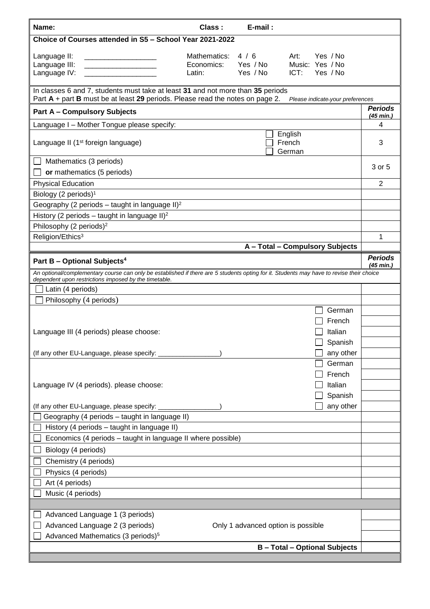| Name:                                                                                                                                                                                             | Class:       | E-mail:  |                                    |                               |
|---------------------------------------------------------------------------------------------------------------------------------------------------------------------------------------------------|--------------|----------|------------------------------------|-------------------------------|
| Choice of Courses attended in S5 - School Year 2021-2022                                                                                                                                          |              |          |                                    |                               |
| Language II:<br>the control of the control of the control of                                                                                                                                      | Mathematics: | 4/6      | Yes / No<br>Art:                   |                               |
| Language III:                                                                                                                                                                                     | Economics:   | Yes / No | Music: Yes / No                    |                               |
| Language IV:                                                                                                                                                                                      | Latin:       | Yes / No | ICT:<br>Yes / No                   |                               |
| In classes 6 and 7, students must take at least 31 and not more than 35 periods                                                                                                                   |              |          |                                    |                               |
| Part $A$ + part <b>B</b> must be at least 29 periods. Please read the notes on page 2.                                                                                                            |              |          | Please indicate your preferences   |                               |
| <b>Part A - Compulsory Subjects</b>                                                                                                                                                               |              |          |                                    | <b>Periods</b><br>$(45$ min.) |
| Language I - Mother Tongue please specify:                                                                                                                                                        |              |          |                                    | 4                             |
| Language II (1 <sup>st</sup> foreign language)                                                                                                                                                    |              |          | English<br>French<br>German        | 3                             |
| Mathematics (3 periods)                                                                                                                                                                           |              |          |                                    |                               |
| or mathematics (5 periods)                                                                                                                                                                        |              |          |                                    | 3 or 5                        |
| <b>Physical Education</b>                                                                                                                                                                         |              |          |                                    | $\overline{2}$                |
| Biology (2 periods) <sup>1</sup>                                                                                                                                                                  |              |          |                                    |                               |
| Geography (2 periods $-$ taught in language II) <sup>2</sup>                                                                                                                                      |              |          |                                    |                               |
| History (2 periods - taught in language $II$ ) <sup>2</sup>                                                                                                                                       |              |          |                                    |                               |
| Philosophy (2 periods) <sup>2</sup>                                                                                                                                                               |              |          |                                    |                               |
| Religion/Ethics <sup>3</sup>                                                                                                                                                                      |              |          |                                    | 1                             |
|                                                                                                                                                                                                   |              |          | A - Total - Compulsory Subjects    |                               |
| Part B - Optional Subjects <sup>4</sup>                                                                                                                                                           |              |          |                                    | <b>Periods</b><br>(45 min.)   |
| An optional/complementary course can only be established if there are 5 students opting for it. Students may have to revise their choice<br>dependent upon restrictions imposed by the timetable. |              |          |                                    |                               |
| Latin (4 periods)                                                                                                                                                                                 |              |          |                                    |                               |
| Philosophy (4 periods)                                                                                                                                                                            |              |          |                                    |                               |
|                                                                                                                                                                                                   |              |          | German                             |                               |
|                                                                                                                                                                                                   |              |          | French                             |                               |
| Language III (4 periods) please choose:                                                                                                                                                           |              |          | Italian                            |                               |
|                                                                                                                                                                                                   |              |          | $\Box$ Spanish                     |                               |
| (If any other EU-Language, please specify: _________                                                                                                                                              |              |          | any other                          |                               |
|                                                                                                                                                                                                   |              |          | German                             |                               |
|                                                                                                                                                                                                   |              |          | French                             |                               |
| Language IV (4 periods). please choose:                                                                                                                                                           |              |          | Italian                            |                               |
|                                                                                                                                                                                                   |              |          | Spanish                            |                               |
| (If any other EU-Language, please specify: _                                                                                                                                                      |              |          | any other                          |                               |
| Geography (4 periods - taught in language II)                                                                                                                                                     |              |          |                                    |                               |
| History (4 periods - taught in language II)<br>Economics (4 periods - taught in language II where possible)                                                                                       |              |          |                                    |                               |
| Biology (4 periods)                                                                                                                                                                               |              |          |                                    |                               |
|                                                                                                                                                                                                   |              |          |                                    |                               |
| Chemistry (4 periods)<br>Physics (4 periods)                                                                                                                                                      |              |          |                                    |                               |
|                                                                                                                                                                                                   |              |          |                                    |                               |
| Art (4 periods)<br>Music (4 periods)                                                                                                                                                              |              |          |                                    |                               |
|                                                                                                                                                                                                   |              |          |                                    |                               |
| Advanced Language 1 (3 periods)                                                                                                                                                                   |              |          |                                    |                               |
| Advanced Language 2 (3 periods)                                                                                                                                                                   |              |          | Only 1 advanced option is possible |                               |
| Advanced Mathematics (3 periods) <sup>5</sup>                                                                                                                                                     |              |          |                                    |                               |
|                                                                                                                                                                                                   |              |          | <b>B-Total-Optional Subjects</b>   |                               |
|                                                                                                                                                                                                   |              |          |                                    |                               |